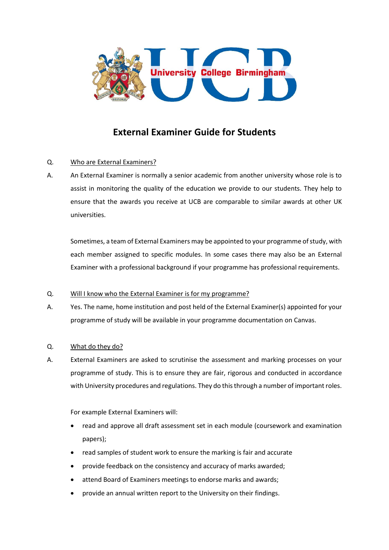

# **External Examiner Guide for Students**

# Q. Who are External Examiners?

A. An External Examiner is normally a senior academic from another university whose role is to assist in monitoring the quality of the education we provide to our students. They help to ensure that the awards you receive at UCB are comparable to similar awards at other UK universities.

Sometimes, a team of External Examiners may be appointed to your programme of study, with each member assigned to specific modules. In some cases there may also be an External Examiner with a professional background if your programme has professional requirements.

## Q. Will I know who the External Examiner is for my programme?

A. Yes. The name, home institution and post held of the External Examiner(s) appointed for your programme of study will be available in your programme documentation on Canvas.

# Q. What do they do?

A. External Examiners are asked to scrutinise the assessment and marking processes on your programme of study. This is to ensure they are fair, rigorous and conducted in accordance with University procedures and regulations. They do this through a number of important roles.

For example External Examiners will:

- read and approve all draft assessment set in each module (coursework and examination papers);
- read samples of student work to ensure the marking is fair and accurate
- provide feedback on the consistency and accuracy of marks awarded;
- attend Board of Examiners meetings to endorse marks and awards;
- provide an annual written report to the University on their findings.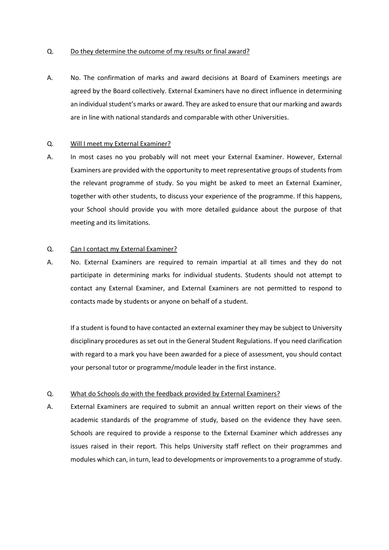#### Q. Do they determine the outcome of my results or final award?

A. No. The confirmation of marks and award decisions at Board of Examiners meetings are agreed by the Board collectively. External Examiners have no direct influence in determining an individual student's marks or award. They are asked to ensure that our marking and awards are in line with national standards and comparable with other Universities.

#### Q. Will I meet my External Examiner?

A. In most cases no you probably will not meet your External Examiner. However, External Examiners are provided with the opportunity to meet representative groups of students from the relevant programme of study. So you might be asked to meet an External Examiner, together with other students, to discuss your experience of the programme. If this happens, your School should provide you with more detailed guidance about the purpose of that meeting and its limitations.

#### Q. Can I contact my External Examiner?

A. No. External Examiners are required to remain impartial at all times and they do not participate in determining marks for individual students. Students should not attempt to contact any External Examiner, and External Examiners are not permitted to respond to contacts made by students or anyone on behalf of a student.

If a student is found to have contacted an external examiner they may be subject to University disciplinary procedures as set out in the General Student Regulations. If you need clarification with regard to a mark you have been awarded for a piece of assessment, you should contact your personal tutor or programme/module leader in the first instance.

## Q. What do Schools do with the feedback provided by External Examiners?

A. External Examiners are required to submit an annual written report on their views of the academic standards of the programme of study, based on the evidence they have seen. Schools are required to provide a response to the External Examiner which addresses any issues raised in their report. This helps University staff reflect on their programmes and modules which can, in turn, lead to developments or improvements to a programme of study.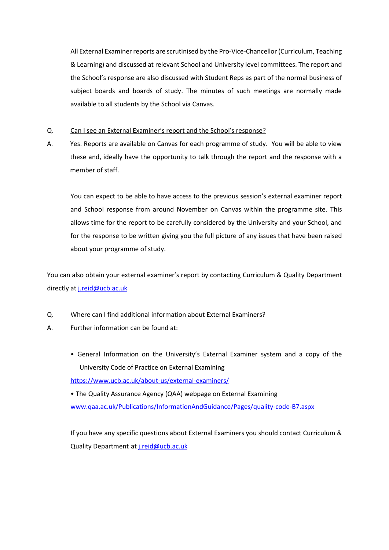All External Examiner reports are scrutinised by the Pro-Vice-Chancellor (Curriculum, Teaching & Learning) and discussed at relevant School and University level committees. The report and the School's response are also discussed with Student Reps as part of the normal business of subject boards and boards of study. The minutes of such meetings are normally made available to all students by the School via Canvas.

## Q. Can I see an External Examiner's report and the School's response?

A. Yes. Reports are available on Canvas for each programme of study. You will be able to view these and, ideally have the opportunity to talk through the report and the response with a member of staff.

You can expect to be able to have access to the previous session's external examiner report and School response from around November on Canvas within the programme site. This allows time for the report to be carefully considered by the University and your School, and for the response to be written giving you the full picture of any issues that have been raised about your programme of study.

You can also obtain your external examiner's report by contacting Curriculum & Quality Department directly at [j.reid@ucb.ac.uk](mailto:j.reid@ucb.ac.uk)

## Q. Where can I find additional information about External Examiners?

- A. Further information can be found at:
	- General Information on the University's External Examiner system and a copy of the University Code of Practice on External Examining

<https://www.ucb.ac.uk/about-us/external-examiners/>

• The Quality Assurance Agency (QAA) webpage on External Examining [www.qaa.ac.uk/Publications/InformationAndGuidance/Pages/quality-code-B7.aspx](http://www.qaa.ac.uk/Publications/InformationAndGuidance/Pages/quality-code-B7.aspx)

If you have any specific questions about External Examiners you should contact Curriculum & Quality Department at [j.reid@ucb.ac.uk](mailto:j.reid@ucb.ac.uk)